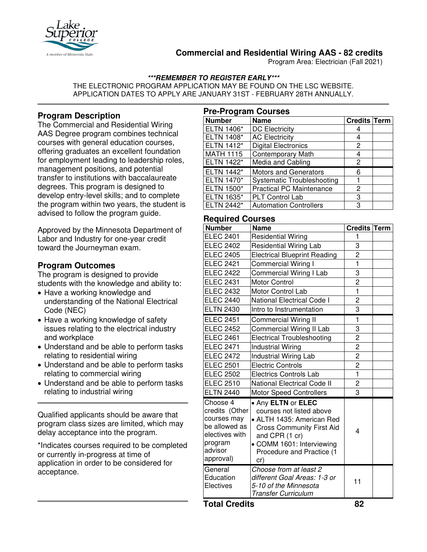

# **Commercial and Residential Wiring AAS - 82 credits**

Program Area: Electrician (Fall 2021)

## **\*\*\*REMEMBER TO REGISTER EARLY\*\*\***

THE ELECTRONIC PROGRAM APPLICATION MAY BE FOUND ON THE LSC WEBSITE. APPLICATION DATES TO APPLY ARE JANUARY 31ST - FEBRUARY 28TH ANNUALLY.

# **Program Description**

The Commercial and Residential Wiring AAS Degree program combines technical courses with general education courses, offering graduates an excellent foundation for employment leading to leadership roles, management positions, and potential transfer to institutions with baccalaureate degrees. This program is designed to develop entry-level skills; and to complete the program within two years, the student is advised to follow the program guide.

Approved by the Minnesota Department of Labor and Industry for one-year credit toward the Journeyman exam.

## **Program Outcomes**

The program is designed to provide students with the knowledge and ability to:

- Have a working knowledge and understanding of the National Electrical Code (NEC)
- Have a working knowledge of safety issues relating to the electrical industry and workplace
- Understand and be able to perform tasks relating to residential wiring
- Understand and be able to perform tasks relating to commercial wiring
- Understand and be able to perform tasks relating to industrial wiring

Qualified applicants should be aware that program class sizes are limited, which may delay acceptance into the program.

\*Indicates courses required to be completed or currently in-progress at time of application in order to be considered for acceptance.

| <b>Pre-Program Courses</b> |                                   |              |  |  |
|----------------------------|-----------------------------------|--------------|--|--|
| <b>Number</b>              | <b>Name</b>                       | Credits Term |  |  |
| <b>ELTN 1406*</b>          | <b>DC Electricity</b>             |              |  |  |
| ELTN 1408*                 | <b>AC Electricity</b>             | 4            |  |  |
| ELTN 1412*                 | <b>Digital Electronics</b>        | 2            |  |  |
| <b>MATH 1115</b>           | <b>Contemporary Math</b>          | 4            |  |  |
| <b>ELTN 1422*</b>          | Media and Cabling                 | 2            |  |  |
| <b>ELTN 1442*</b>          | <b>Motors and Generators</b>      | 6            |  |  |
| <b>ELTN 1470*</b>          | <b>Systematic Troubleshooting</b> |              |  |  |
| <b>ELTN 1500*</b>          | <b>Practical PC Maintenance</b>   | 2            |  |  |
| ELTN 1635*                 | <b>PLT Control Lab</b>            | 3            |  |  |
| ELTN 2442*                 | <b>Automation Controllers</b>     | 3            |  |  |

# **Required Courses**

| .                                                                                                               |                                                                                                                                                                                                    |                         |  |
|-----------------------------------------------------------------------------------------------------------------|----------------------------------------------------------------------------------------------------------------------------------------------------------------------------------------------------|-------------------------|--|
| <b>Number</b>                                                                                                   | <b>Name</b>                                                                                                                                                                                        | <b>Credits Term</b>     |  |
| <b>ELEC 2401</b>                                                                                                | <b>Residential Wiring</b>                                                                                                                                                                          | 1                       |  |
| <b>ELEC 2402</b>                                                                                                | <b>Residential Wiring Lab</b>                                                                                                                                                                      | 3                       |  |
| <b>ELEC 2405</b>                                                                                                | <b>Electrical Blueprint Reading</b>                                                                                                                                                                | $\overline{c}$          |  |
| <b>ELEC 2421</b>                                                                                                | Commercial Wiring I                                                                                                                                                                                | $\mathbf{1}$            |  |
| <b>ELEC 2422</b>                                                                                                | Commercial Wiring I Lab                                                                                                                                                                            | 3                       |  |
| <b>ELEC 2431</b>                                                                                                | Motor Control                                                                                                                                                                                      | $\overline{2}$          |  |
| <b>ELEC 2432</b>                                                                                                | Motor Control Lab                                                                                                                                                                                  | $\mathbf{1}$            |  |
| <b>ELEC 2440</b>                                                                                                | National Electrical Code I                                                                                                                                                                         | $\overline{c}$          |  |
| <b>ELTN 2430</b>                                                                                                | Intro to Instrumentation                                                                                                                                                                           | 3                       |  |
| <b>ELEC 2451</b>                                                                                                | <b>Commercial Wiring II</b>                                                                                                                                                                        | 1                       |  |
| <b>ELEC 2452</b>                                                                                                | Commercial Wiring II Lab                                                                                                                                                                           | 3                       |  |
| <b>ELEC 2461</b>                                                                                                | <b>Electrical Troubleshooting</b>                                                                                                                                                                  | $\overline{2}$          |  |
| <b>ELEC 2471</b>                                                                                                | <b>Industrial Wiring</b>                                                                                                                                                                           | $\overline{\mathbf{c}}$ |  |
| <b>ELEC 2472</b>                                                                                                | <b>Industrial Wiring Lab</b>                                                                                                                                                                       | $\overline{2}$          |  |
| <b>ELEC 2501</b>                                                                                                | <b>Electric Controls</b>                                                                                                                                                                           | $\overline{2}$          |  |
| <b>ELEC 2502</b>                                                                                                | <b>Electrics Controls Lab</b>                                                                                                                                                                      | $\mathbf{1}$            |  |
| <b>ELEC 2510</b>                                                                                                | <b>National Electrical Code II</b>                                                                                                                                                                 | $\overline{c}$          |  |
| <b>ELTN 2440</b>                                                                                                | <b>Motor Speed Controllers</b>                                                                                                                                                                     | 3                       |  |
| Choose 4<br>credits (Other<br>courses may<br>be allowed as<br>electives with<br>program<br>advisor<br>approval) | . Any ELTN or ELEC<br>courses not listed above<br>• ALTH 1435: American Red<br><b>Cross Community First Aid</b><br>and CPR (1 cr)<br>• COMM 1601: Interviewing<br>Procedure and Practice (1<br>cr) | 4                       |  |
| General<br>Education<br>Electives                                                                               | Choose from at least 2<br>different Goal Areas: 1-3 or<br>5-10 of the Minnesota<br><b>Transfer Curriculum</b>                                                                                      | 11                      |  |

**Total Credits 82**